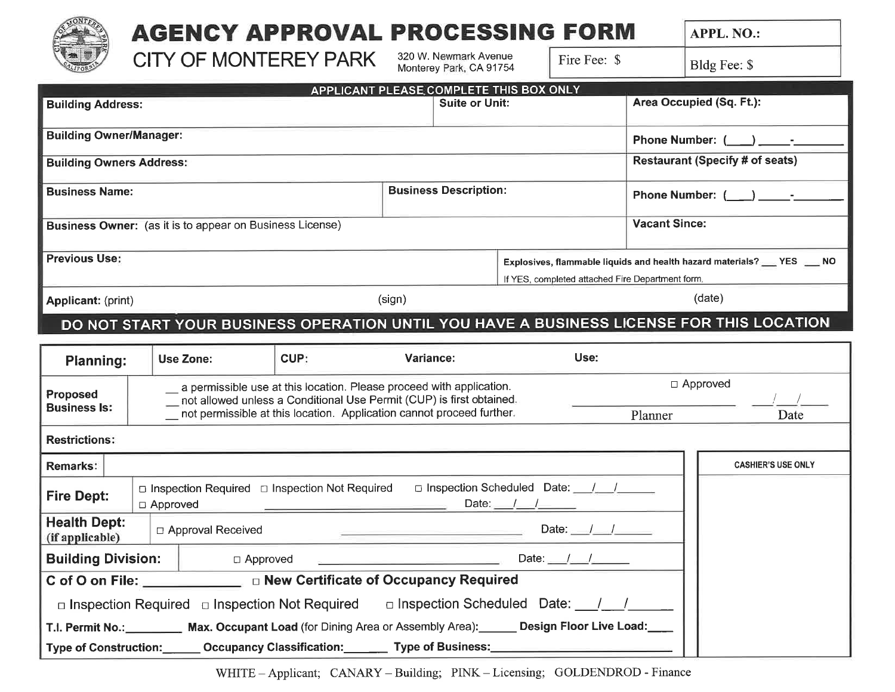

## **AGENCY APPROVAL PROCESSING FORM**

**APPL. NO.:** 

**CITY OF MONTEREY PARK** 

 $\Box$  Approved

□ Inspection Required □ Inspection Not Required

320 W. Newmark Avenue Monterey Park, CA 91754 Fire Fee: \$

Bldg Fee: \$

|                                                                                  |                                                                                                                                                                                                                                                                                                                                                                                                                             | APPLICANT PLEASE COMPLETE THIS BOX ONLY |                                                                                                                                                                                                                       |                                                                                                                                |  |                          |                                    |                        |                                        |  |
|----------------------------------------------------------------------------------|-----------------------------------------------------------------------------------------------------------------------------------------------------------------------------------------------------------------------------------------------------------------------------------------------------------------------------------------------------------------------------------------------------------------------------|-----------------------------------------|-----------------------------------------------------------------------------------------------------------------------------------------------------------------------------------------------------------------------|--------------------------------------------------------------------------------------------------------------------------------|--|--------------------------|------------------------------------|------------------------|----------------------------------------|--|
| <b>Building Address:</b>                                                         |                                                                                                                                                                                                                                                                                                                                                                                                                             |                                         | <b>Suite or Unit:</b>                                                                                                                                                                                                 |                                                                                                                                |  | Area Occupied (Sq. Ft.): |                                    |                        |                                        |  |
| <b>Building Owner/Manager:</b>                                                   |                                                                                                                                                                                                                                                                                                                                                                                                                             |                                         |                                                                                                                                                                                                                       |                                                                                                                                |  |                          |                                    | <b>Phone Number: (</b> |                                        |  |
|                                                                                  | <b>Building Owners Address:</b>                                                                                                                                                                                                                                                                                                                                                                                             |                                         |                                                                                                                                                                                                                       |                                                                                                                                |  |                          |                                    |                        | <b>Restaurant (Specify # of seats)</b> |  |
| <b>Business Name:</b>                                                            |                                                                                                                                                                                                                                                                                                                                                                                                                             |                                         | <b>Business Description:</b>                                                                                                                                                                                          |                                                                                                                                |  | <b>Phone Number: (</b>   |                                    |                        |                                        |  |
| <b>Vacant Since:</b><br>Business Owner: (as it is to appear on Business License) |                                                                                                                                                                                                                                                                                                                                                                                                                             |                                         |                                                                                                                                                                                                                       |                                                                                                                                |  |                          |                                    |                        |                                        |  |
| <b>Previous Use:</b>                                                             |                                                                                                                                                                                                                                                                                                                                                                                                                             |                                         |                                                                                                                                                                                                                       | Explosives, flammable liquids and health hazard materials? ____ YES ___ NO<br>If YES, completed attached Fire Department form. |  |                          |                                    |                        |                                        |  |
| <b>Applicant: (print)</b>                                                        |                                                                                                                                                                                                                                                                                                                                                                                                                             |                                         | (sign)                                                                                                                                                                                                                |                                                                                                                                |  |                          | (date)                             |                        |                                        |  |
|                                                                                  | DO NOT START YOUR BUSINESS OPERATION UNTIL YOU HAVE A BUSINESS LICENSE FOR THIS LOCATION                                                                                                                                                                                                                                                                                                                                    |                                         |                                                                                                                                                                                                                       |                                                                                                                                |  |                          |                                    |                        |                                        |  |
| <b>Planning:</b>                                                                 | <b>Use Zone:</b>                                                                                                                                                                                                                                                                                                                                                                                                            | CUP:                                    | Variance:                                                                                                                                                                                                             |                                                                                                                                |  | Use:                     |                                    |                        |                                        |  |
| Proposed<br><b>Business Is:</b>                                                  |                                                                                                                                                                                                                                                                                                                                                                                                                             |                                         | a permissible use at this location. Please proceed with application.<br>not allowed unless a Conditional Use Permit (CUP) is first obtained.<br>not permissible at this location. Application cannot proceed further. |                                                                                                                                |  |                          | $\Box$ Approved<br>Planner<br>Date |                        |                                        |  |
| <b>Restrictions:</b>                                                             |                                                                                                                                                                                                                                                                                                                                                                                                                             |                                         |                                                                                                                                                                                                                       |                                                                                                                                |  |                          |                                    |                        |                                        |  |
| <b>Remarks:</b>                                                                  |                                                                                                                                                                                                                                                                                                                                                                                                                             |                                         |                                                                                                                                                                                                                       |                                                                                                                                |  |                          |                                    |                        | <b>CASHIER'S USE ONLY</b>              |  |
| <b>Fire Dept:</b>                                                                | □ Inspection Scheduled Date: ////<br>□ Inspection Required □ Inspection Not Required<br>Date: $\frac{1}{2}$ $\frac{1}{2}$ $\frac{1}{2}$ $\frac{1}{2}$ $\frac{1}{2}$ $\frac{1}{2}$ $\frac{1}{2}$ $\frac{1}{2}$ $\frac{1}{2}$ $\frac{1}{2}$ $\frac{1}{2}$ $\frac{1}{2}$ $\frac{1}{2}$ $\frac{1}{2}$ $\frac{1}{2}$ $\frac{1}{2}$ $\frac{1}{2}$ $\frac{1}{2}$ $\frac{1}{2}$ $\frac{1}{2}$ $\frac{1}{2}$ $\frac{1$<br>□ Approved |                                         |                                                                                                                                                                                                                       |                                                                                                                                |  |                          |                                    |                        |                                        |  |
| <b>Health Dept:</b><br>$\mathbf{r}$                                              | □ Approval Received                                                                                                                                                                                                                                                                                                                                                                                                         |                                         |                                                                                                                                                                                                                       |                                                                                                                                |  | Date:                    |                                    |                        |                                        |  |

**Building Division:** 

Type of Construction:

C of O on File:

(if applicable)

WHITE - Applicant; CANARY - Building; PINK - Licensing; GOLDENDROD - Finance

□ New Certificate of Occupancy Required

T.I. Permit No.: Max. Occupant Load (for Dining Area or Assembly Area): Design Floor Live Load: Occupancy Classification: \_\_\_\_\_\_\_\_ Type of Business:

Date:  $/$ 

□ Inspection Scheduled Date: /